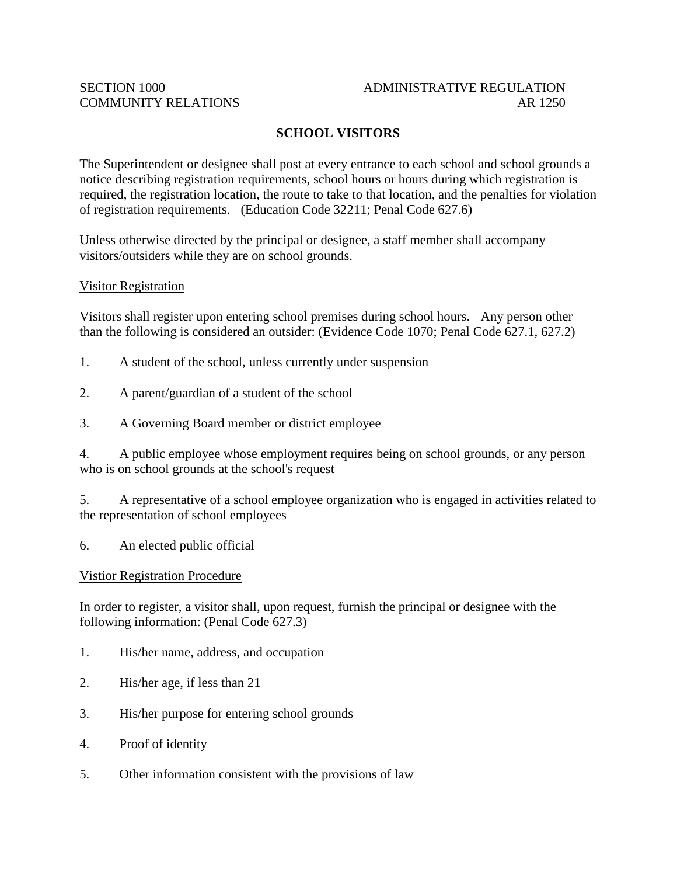## SECTION 1000 ADMINISTRATIVE REGULATION COMMUNITY RELATIONS AR 1250

# **SCHOOL VISITORS**

The Superintendent or designee shall post at every entrance to each school and school grounds a notice describing registration requirements, school hours or hours during which registration is required, the registration location, the route to take to that location, and the penalties for violation of registration requirements. (Education Code 32211; Penal Code 627.6)

Unless otherwise directed by the principal or designee, a staff member shall accompany visitors/outsiders while they are on school grounds.

### Visitor Registration

Visitors shall register upon entering school premises during school hours. Any person other than the following is considered an outsider: (Evidence Code 1070; Penal Code 627.1, 627.2)

- 1. A student of the school, unless currently under suspension
- 2. A parent/guardian of a student of the school
- 3. A Governing Board member or district employee

4. A public employee whose employment requires being on school grounds, or any person who is on school grounds at the school's request

5. A representative of a school employee organization who is engaged in activities related to the representation of school employees

6. An elected public official

Vistior Registration Procedure

In order to register, a visitor shall, upon request, furnish the principal or designee with the following information: (Penal Code 627.3)

- 1. His/her name, address, and occupation
- 2. His/her age, if less than 21
- 3. His/her purpose for entering school grounds
- 4. Proof of identity
- 5. Other information consistent with the provisions of law